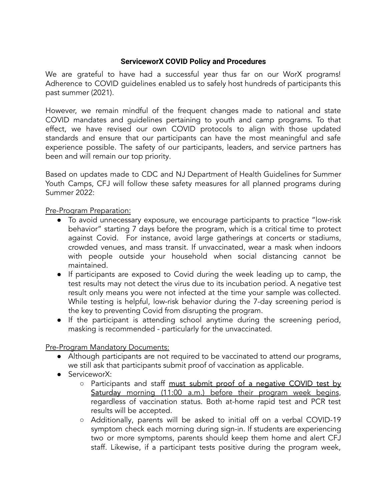## **ServiceworX COVID Policy and Procedures**

We are grateful to have had a successful year thus far on our WorX programs! Adherence to COVID guidelines enabled us to safely host hundreds of participants this past summer (2021).

However, we remain mindful of the frequent changes made to national and state COVID mandates and guidelines pertaining to youth and camp programs. To that effect, we have revised our own COVID protocols to align with those updated standards and ensure that our participants can have the most meaningful and safe experience possible. The safety of our participants, leaders, and service partners has been and will remain our top priority.

Based on updates made to CDC and NJ Department of Health Guidelines for Summer Youth Camps, CFJ will follow these safety measures for all planned programs during Summer 2022:

## Pre-Program Preparation:

- To avoid unnecessary exposure, we encourage participants to practice "low-risk behavior" starting 7 days before the program, which is a critical time to protect against Covid. For instance, avoid large gatherings at concerts or stadiums, crowded venues, and mass transit. If unvaccinated, wear a mask when indoors with people outside your household when social distancing cannot be maintained.
- If participants are exposed to Covid during the week leading up to camp, the test results may not detect the virus due to its incubation period. A negative test result only means you were not infected at the time your sample was collected. While testing is helpful, low-risk behavior during the 7-day screening period is the key to preventing Covid from disrupting the program.
- If the participant is attending school anytime during the screening period, masking is recommended - particularly for the unvaccinated.

## Pre-Program Mandatory Documents:

- Although participants are not required to be vaccinated to attend our programs, we still ask that participants submit proof of vaccination as applicable.
- ServiceworX:
	- o Participants and staff must submit proof of a negative COVID test by Saturday morning (11:00 a.m.) before their program week begins, regardless of vaccination status. Both at-home rapid test and PCR test results will be accepted.
	- Additionally, parents will be asked to initial off on a verbal COVID-19 symptom check each morning during sign-in. If students are experiencing two or more symptoms, parents should keep them home and alert CFJ staff. Likewise, if a participant tests positive during the program week,